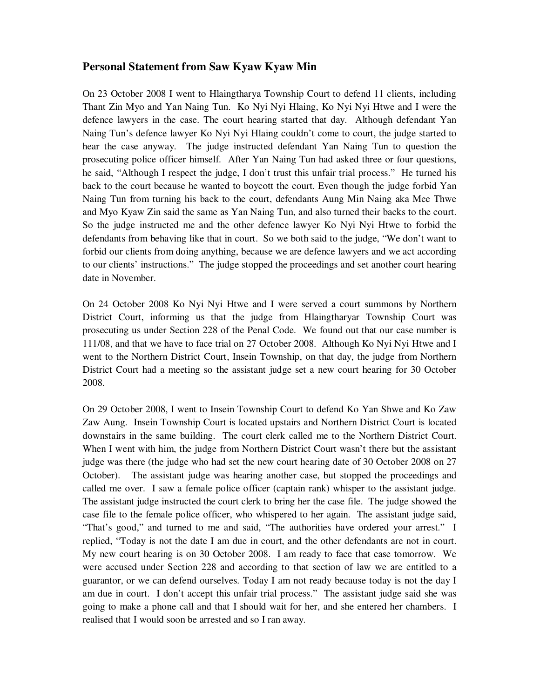# **Personal Statement from Saw Kyaw Kyaw Min**

On 23 October 2008 I went to Hlaingtharya Township Court to defend 11 clients, including Thant Zin Myo and Yan Naing Tun. Ko Nyi Nyi Hlaing, Ko Nyi Nyi Htwe and I were the defence lawyers in the case. The court hearing started that day. Although defendant Yan Naing Tun's defence lawyer Ko Nyi Nyi Hlaing couldn't come to court, the judge started to hear the case anyway. The judge instructed defendant Yan Naing Tun to question the prosecuting police officer himself. After Yan Naing Tun had asked three or four questions, he said, "Although I respect the judge, I don't trust this unfair trial process." He turned his back to the court because he wanted to boycott the court. Even though the judge forbid Yan Naing Tun from turning his back to the court, defendants Aung Min Naing aka Mee Thwe and Myo Kyaw Zin said the same as Yan Naing Tun, and also turned their backs to the court. So the judge instructed me and the other defence lawyer Ko Nyi Nyi Htwe to forbid the defendants from behaving like that in court. So we both said to the judge, "We don't want to forbid our clients from doing anything, because we are defence lawyers and we act according to our clients' instructions." The judge stopped the proceedings and set another court hearing date in November.

On 24 October 2008 Ko Nyi Nyi Htwe and I were served a court summons by Northern District Court, informing us that the judge from Hlaingtharyar Township Court was prosecuting us under Section 228 of the Penal Code. We found out that our case number is 111/08, and that we have to face trial on 27 October 2008. Although Ko Nyi Nyi Htwe and I went to the Northern District Court, Insein Township, on that day, the judge from Northern District Court had a meeting so the assistant judge set a new court hearing for 30 October 2008.

On 29 October 2008, I went to Insein Township Court to defend Ko Yan Shwe and Ko Zaw Zaw Aung. Insein Township Court is located upstairs and Northern District Court is located downstairs in the same building. The court clerk called me to the Northern District Court. When I went with him, the judge from Northern District Court wasn't there but the assistant judge was there (the judge who had set the new court hearing date of 30 October 2008 on 27 October). The assistant judge was hearing another case, but stopped the proceedings and called me over. I saw a female police officer (captain rank) whisper to the assistant judge. The assistant judge instructed the court clerk to bring her the case file. The judge showed the case file to the female police officer, who whispered to her again. The assistant judge said, "That's good," and turned to me and said, "The authorities have ordered your arrest." I replied, "Today is not the date I am due in court, and the other defendants are not in court. My new court hearing is on 30 October 2008. I am ready to face that case tomorrow. We were accused under Section 228 and according to that section of law we are entitled to a guarantor, or we can defend ourselves. Today I am not ready because today is not the day I am due in court. I don't accept this unfair trial process." The assistant judge said she was going to make a phone call and that I should wait for her, and she entered her chambers. I realised that I would soon be arrested and so I ran away.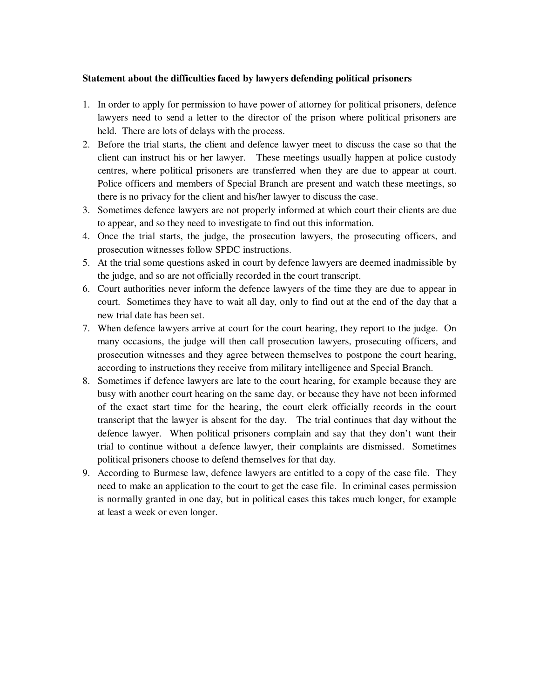#### **Statement about the difficulties faced by lawyers defending political prisoners**

- 1. In order to apply for permission to have power of attorney for political prisoners, defence lawyers need to send a letter to the director of the prison where political prisoners are held. There are lots of delays with the process.
- 2. Before the trial starts, the client and defence lawyer meet to discuss the case so that the client can instruct his or her lawyer. These meetings usually happen at police custody centres, where political prisoners are transferred when they are due to appear at court. Police officers and members of Special Branch are present and watch these meetings, so there is no privacy for the client and his/her lawyer to discuss the case.
- 3. Sometimes defence lawyers are not properly informed at which court their clients are due to appear, and so they need to investigate to find out this information.
- 4. Once the trial starts, the judge, the prosecution lawyers, the prosecuting officers, and prosecution witnesses follow SPDC instructions.
- 5. At the trial some questions asked in court by defence lawyers are deemed inadmissible by the judge, and so are not officially recorded in the court transcript.
- 6. Court authorities never inform the defence lawyers of the time they are due to appear in court. Sometimes they have to wait all day, only to find out at the end of the day that a new trial date has been set.
- 7. When defence lawyers arrive at court for the court hearing, they report to the judge. On many occasions, the judge will then call prosecution lawyers, prosecuting officers, and prosecution witnesses and they agree between themselves to postpone the court hearing, according to instructions they receive from military intelligence and Special Branch.
- 8. Sometimes if defence lawyers are late to the court hearing, for example because they are busy with another court hearing on the same day, or because they have not been informed of the exact start time for the hearing, the court clerk officially records in the court transcript that the lawyer is absent for the day. The trial continues that day without the defence lawyer. When political prisoners complain and say that they don't want their trial to continue without a defence lawyer, their complaints are dismissed. Sometimes political prisoners choose to defend themselves for that day.
- 9. According to Burmese law, defence lawyers are entitled to a copy of the case file. They need to make an application to the court to get the case file. In criminal cases permission is normally granted in one day, but in political cases this takes much longer, for example at least a week or even longer.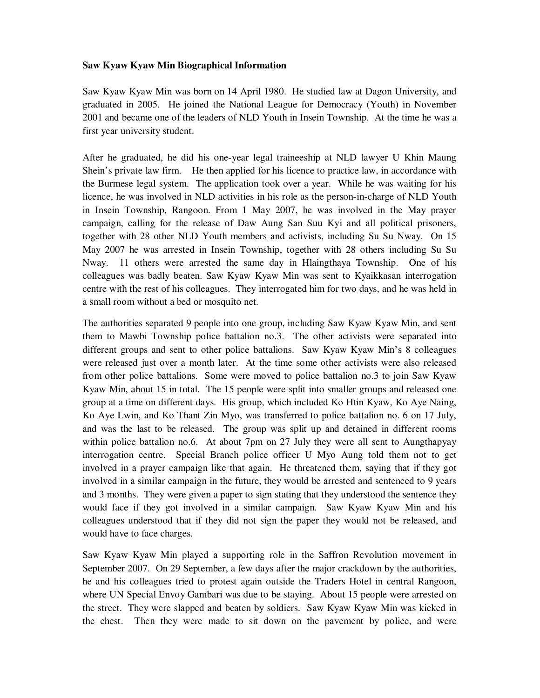## **Saw Kyaw Kyaw Min Biographical Information**

Saw Kyaw Kyaw Min was born on 14 April 1980. He studied law at Dagon University, and graduated in 2005. He joined the National League for Democracy (Youth) in November 2001 and became one of the leaders of NLD Youth in Insein Township. At the time he was a first year university student.

After he graduated, he did his one-year legal traineeship at NLD lawyer U Khin Maung Shein's private law firm. He then applied for his licence to practice law, in accordance with the Burmese legal system. The application took over a year. While he was waiting for his licence, he was involved in NLD activities in his role as the person-in-charge of NLD Youth in Insein Township, Rangoon. From 1 May 2007, he was involved in the May prayer campaign, calling for the release of Daw Aung San Suu Kyi and all political prisoners, together with 28 other NLD Youth members and activists, including Su Su Nway. On 15 May 2007 he was arrested in Insein Township, together with 28 others including Su Su Nway. 11 others were arrested the same day in Hlaingthaya Township. One of his colleagues was badly beaten. Saw Kyaw Kyaw Min was sent to Kyaikkasan interrogation centre with the rest of his colleagues. They interrogated him for two days, and he was held in a small room without a bed or mosquito net.

The authorities separated 9 people into one group, including Saw Kyaw Kyaw Min, and sent them to Mawbi Township police battalion no.3. The other activists were separated into different groups and sent to other police battalions. Saw Kyaw Kyaw Min's 8 colleagues were released just over a month later. At the time some other activists were also released from other police battalions. Some were moved to police battalion no.3 to join Saw Kyaw Kyaw Min, about 15 in total. The 15 people were split into smaller groups and released one group at a time on different days. His group, which included Ko Htin Kyaw, Ko Aye Naing, Ko Aye Lwin, and Ko Thant Zin Myo, was transferred to police battalion no. 6 on 17 July, and was the last to be released. The group was split up and detained in different rooms within police battalion no.6. At about 7pm on 27 July they were all sent to Aungthapyay interrogation centre. Special Branch police officer U Myo Aung told them not to get involved in a prayer campaign like that again. He threatened them, saying that if they got involved in a similar campaign in the future, they would be arrested and sentenced to 9 years and 3 months. They were given a paper to sign stating that they understood the sentence they would face if they got involved in a similar campaign. Saw Kyaw Kyaw Min and his colleagues understood that if they did not sign the paper they would not be released, and would have to face charges.

Saw Kyaw Kyaw Min played a supporting role in the Saffron Revolution movement in September 2007. On 29 September, a few days after the major crackdown by the authorities, he and his colleagues tried to protest again outside the Traders Hotel in central Rangoon, where UN Special Envoy Gambari was due to be staying. About 15 people were arrested on the street. They were slapped and beaten by soldiers. Saw Kyaw Kyaw Min was kicked in the chest. Then they were made to sit down on the pavement by police, and were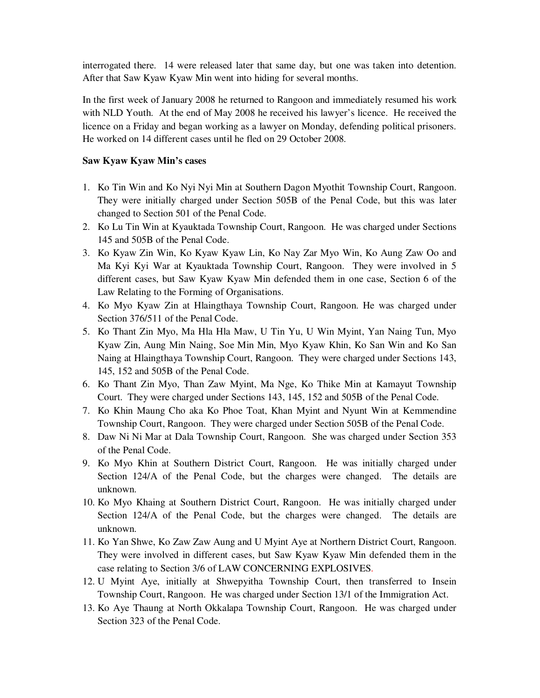interrogated there. 14 were released later that same day, but one was taken into detention. After that Saw Kyaw Kyaw Min went into hiding for several months.

In the first week of January 2008 he returned to Rangoon and immediately resumed his work with NLD Youth. At the end of May 2008 he received his lawyer's licence. He received the licence on a Friday and began working as a lawyer on Monday, defending political prisoners. He worked on 14 different cases until he fled on 29 October 2008.

### **Saw Kyaw Kyaw Min's cases**

- 1. Ko Tin Win and Ko Nyi Nyi Min at Southern Dagon Myothit Township Court, Rangoon. They were initially charged under Section 505B of the Penal Code, but this was later changed to Section 501 of the Penal Code.
- 2. Ko Lu Tin Win at Kyauktada Township Court, Rangoon. He was charged under Sections 145 and 505B of the Penal Code.
- 3. Ko Kyaw Zin Win, Ko Kyaw Kyaw Lin, Ko Nay Zar Myo Win, Ko Aung Zaw Oo and Ma Kyi Kyi War at Kyauktada Township Court, Rangoon. They were involved in 5 different cases, but Saw Kyaw Kyaw Min defended them in one case, Section 6 of the Law Relating to the Forming of Organisations.
- 4. Ko Myo Kyaw Zin at Hlaingthaya Township Court, Rangoon. He was charged under Section 376/511 of the Penal Code.
- 5. Ko Thant Zin Myo, Ma Hla Hla Maw, U Tin Yu, U Win Myint, Yan Naing Tun, Myo Kyaw Zin, Aung Min Naing, Soe Min Min, Myo Kyaw Khin, Ko San Win and Ko San Naing at Hlaingthaya Township Court, Rangoon. They were charged under Sections 143, 145, 152 and 505B of the Penal Code.
- 6. Ko Thant Zin Myo, Than Zaw Myint, Ma Nge, Ko Thike Min at Kamayut Township Court. They were charged under Sections 143, 145, 152 and 505B of the Penal Code.
- 7. Ko Khin Maung Cho aka Ko Phoe Toat, Khan Myint and Nyunt Win at Kemmendine Township Court, Rangoon. They were charged under Section 505B of the Penal Code.
- 8. Daw Ni Ni Mar at Dala Township Court, Rangoon. She was charged under Section 353 of the Penal Code.
- 9. Ko Myo Khin at Southern District Court, Rangoon. He was initially charged under Section 124/A of the Penal Code, but the charges were changed. The details are unknown.
- 10. Ko Myo Khaing at Southern District Court, Rangoon. He was initially charged under Section 124/A of the Penal Code, but the charges were changed. The details are unknown.
- 11. Ko Yan Shwe, Ko Zaw Zaw Aung and U Myint Aye at Northern District Court, Rangoon. They were involved in different cases, but Saw Kyaw Kyaw Min defended them in the case relating to Section 3/6 of LAW CONCERNING EXPLOSIVES.
- 12. U Myint Aye, initially at Shwepyitha Township Court, then transferred to Insein Township Court, Rangoon. He was charged under Section 13/1 of the Immigration Act.
- 13. Ko Aye Thaung at North Okkalapa Township Court, Rangoon. He was charged under Section 323 of the Penal Code.